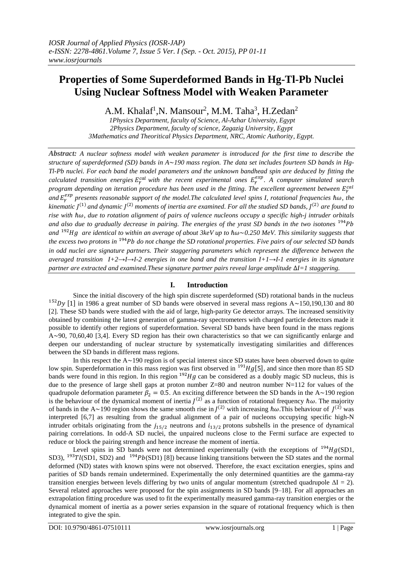# **Properties of Some Superdeformed Bands in Hg-Tl-Pb Nuclei Using Nuclear Softness Model with Weaken Parameter**

A.M. Khalaf<sup>1</sup>, N. Mansour<sup>2</sup>, M.M. Taha<sup>3</sup>, H. Zedan<sup>2</sup>

*1Physics Department, faculty of Science, Al-Azhar University, Egypt 2Physics Department, faculty of science, Zagazig University, Egypt 3Mathematics and Theoritical Physics Department, NRC, Atomic Authority, Egypt.*

*Abstract: A nuclear softness model with weaken parameter is introduced for the first time to describe the structure of superdeformed (SD) bands in A*~*190 mass region. The data set includes fourteen SD bands in Hg-Tl-Pb nuclei. For each band the model parameters and the unknown bandhead spin are deduced by fitting the*  calculated transition energies  $E_{\gamma}^{cal}$  with the recent experimental ones  $E_{\gamma}^{exp}$ . A computer simulated search *program depending on iteration procedure has been used in the fitting. The excellent agreement between*  $E_{\gamma}^{cal}$ and  $E_\gamma^{exp}$  presents reasonable support of the model.The calculated level spins I, rotational frequencies  $\hbar\omega$ , the kinematic J<sup>(1)</sup> and dynamic J<sup>(2)</sup> moments of inertia are examined. For all the studied SD bands, J<sup>(2)</sup> are found to *rise with* ℏ*, due to rotation alignment of pairs of valence nucleons occupy a specific high-j intruder orbitals and also due to gradually decrease in pairing. The energies of the yrast SD bands in the two isotones* <sup>194</sup> and <sup>192</sup>Hg are identical to within an average of about 3keV up to  $\hbar\omega \sim 0.250$  MeV. This similarity suggests that *the excess two protons in*  <sup>194</sup> *do not change the SD rotational properties. Five pairs of our selected SD bands in odd nuclei are signature partners. Their staggering parameters which represent the difference between the averaged transition I+2→I→I-2 energies in one band and the transition I+1→I-1 energies in its signature partner are extracted and examined.These signature partner pairs reveal large amplitude* ∆*I=1 staggering.* 

## **I. Introduction**

Since the initial discovery of the high spin discrete superdeformed (SD) rotational bands in the nucleus <sup>152</sup>Dy [1] in 1986 a great number of SD bands were observed in several mass regions  $A \sim 150,190,130$  and 80 [2]. These SD bands were studied with the aid of large, high-parity Ge detector arrays. The increased sensitivity obtained by combining the latest generation of gamma-ray spectrometers with charged particle detectors made it possible to identify other regions of superdeformation. Several SD bands have been found in the mass regions A~90, 70,60,40 [3,4]. Every SD region has their own characteristics so that we can significantly enlarge and deepen our understanding of nuclear structure by systematically investigating similarities and differences between the SD bands in different mass regions.

In this respect the  $A \sim 190$  region is of special interest since SD states have been observed down to quite low spin. Superdeformation in this mass region was first observed in  $^{191}Hg[5]$ , and since then more than 85 SD bands were found in this region. In this region  $192Hg$  can be considered as a doubly magic SD nucleus, this is due to the presence of large shell gaps at proton number  $Z=80$  and neutron number  $N=112$  for values of the quadrupole deformation parameter  $\beta_2 = 0.5$ . An exciting difference between the SD bands in the A~190 region is the behaviour of the dynamical moment of inertia  $J^{(2)}$  as a function of rotational frequency  $\hbar\omega$ . The majority of bands in the A~190 region shows the same smooth rise in  $J^{(2)}$  with increasing  $\hbar\omega$ . This behaviour of  $J^{(2)}$  was interpreted [6,7] as resulting from the gradual alignment of a pair of nucleons occupying specific high-N intruder orbitals originating from the  $j_{15/2}$  neutrons and  $i_{13/2}$  protons subshells in the presence of dynamical pairing correlations. In odd-A SD nuclei, the unpaired nucleons close to the Fermi surface are expected to reduce or block the pairing strength and hence increase the moment of inertia.

Level spins in SD bands were not determined experimentally (with the exceptions of  $^{194}Hg(SD1)$ , SD3),  $^{193}Tl(SD1, SD2)$  and  $^{194}Pb(SD1)$  [8]) because linking transitions between the SD states and the normal deformed (ND) states with known spins were not observed. Therefore, the exact excitation energies, spins and parities of SD bands remain undetermined. Experimentally the only determined quantities are the gamma-ray transition energies between levels differing by two units of angular momentum (stretched quadrupole  $\Delta I = 2$ ). Several related approaches were proposed for the spin assignments in SD bands [9–18]. For all approaches an extrapolation fitting procedure was used to fit the experimentally measured gamma-ray transition energies or the dynamical moment of inertia as a power series expansion in the square of rotational frequency which is then integrated to give the spin.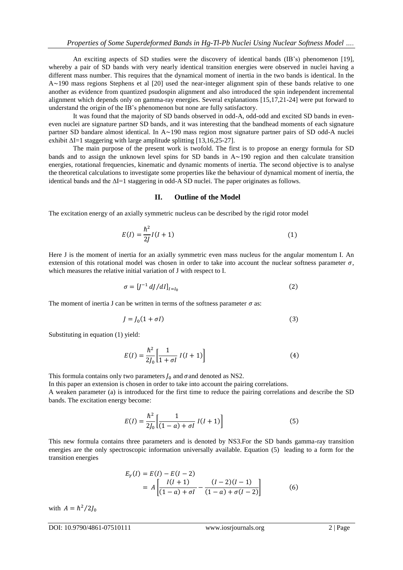An exciting aspects of SD studies were the discovery of identical bands (IB's) phenomenon [19], whereby a pair of SD bands with very nearly identical transition energies were observed in nuclei having a different mass number. This requires that the dynamical moment of inertia in the two bands is identical. In the A~190 mass regions Stephens et al [20] used the near-integer alignment spin of these bands relative to one another as evidence from quantized psudospin alignment and also introduced the spin independent incremental alignment which depends only on gamma-ray energies. Several explanations [15,17,21-24] were put forward to understand the origin of the IB's phenomenon but none are fully satisfactory.

It was found that the majority of SD bands observed in odd-A, odd-odd and excited SD bands in eveneven nuclei are signature partner SD bands, and it was interesting that the bandhead moments of each signature partner SD bandare almost identical. In A~190 mass region most signature partner pairs of SD odd-A nuclei exhibit  $\Delta I = 1$  staggering with large amplitude splitting [13,16,25-27].

The main purpose of the present work is twofold. The first is to propose an energy formula for SD bands and to assign the unknown level spins for SD bands in  $A \sim 190$  region and then calculate transition energies, rotational frequencies, kinematic and dynamic moments of inertia. The second objective is to analyse the theoretical calculations to investigate some properties like the behaviour of dynamical moment of inertia, the identical bands and the ΔI=1 staggering in odd-A SD nuclei. The paper originates as follows.

#### **II. Outline of the Model**

The excitation energy of an axially symmetric nucleus can be described by the rigid rotor model

$$
E(I) = \frac{\hbar^2}{2J}I(I+1)
$$
 (1)

Here J is the moment of inertia for an axially symmetric even mass nucleus for the angular momentum I. An extension of this rotational model was chosen in order to take into account the nuclear softness parameter  $\sigma$ , which measures the relative initial variation of J with respect to I.

$$
\sigma = [J^{-1} dJ/dI]_{I=I_0}
$$
 (2)

The moment of inertia J can be written in terms of the softness parameter  $\sigma$  as:

$$
J = J_0(1 + \sigma I) \tag{3}
$$

Substituting in equation (1) yield:

$$
E(I) = \frac{\hbar^2}{2J_0} \left[ \frac{1}{1 + \sigma I} I(I + 1) \right]
$$
 (4)

This formula contains only two parameters  $J_0$  and  $\sigma$  and denoted as NS2.

In this paper an extension is chosen in order to take into account the pairing correlations.

A weaken parameter (a) is introduced for the first time to reduce the pairing correlations and describe the SD bands. The excitation energy become:

$$
E(I) = \frac{\hbar^2}{2J_0} \left[ \frac{1}{(1-a) + \sigma I} I(I+1) \right]
$$
 (5)

This new formula contains three parameters and is denoted by NS3.For the SD bands gamma-ray transition energies are the only spectroscopic information universally available. Equation (5) leading to a form for the transition energies

$$
E_{\gamma}(I) = E(I) - E(I - 2)
$$
  
=  $A \left[ \frac{I(I + 1)}{(1 - a) + \sigma I} - \frac{(I - 2)(I - 1)}{(1 - a) + \sigma (I - 2)} \right]$  (6)

with  $A = \hbar^2 / 2J_0$ 

DOI: 10.9790/4861-07510111 www.iosrjournals.org 2 | Page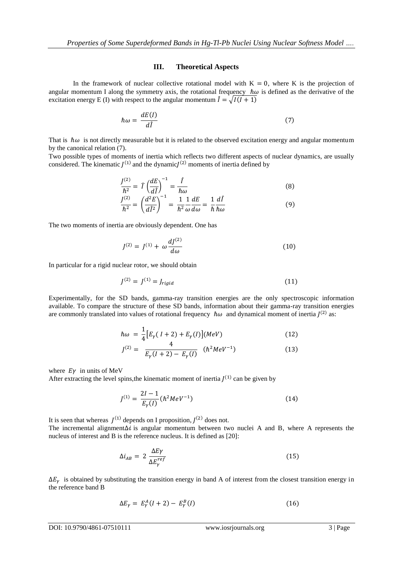### **III. Theoretical Aspects**

In the framework of nuclear collective rotational model with  $K = 0$ , where K is the projection of angular momentum I along the symmetry axis, the rotational frequency  $\hbar\omega$  is defined as the derivative of the excitation energy E (I) with respect to the angular momentum  $\hat{I} = \sqrt{I(I + 1)}$ 

$$
\hbar\omega = \frac{dE(I)}{d\hat{I}}\tag{7}
$$

That is  $\hbar\omega$  is not directly measurable but it is related to the observed excitation energy and angular momentum by the canonical relation (7).

Two possible types of moments of inertia which reflects two different aspects of nuclear dynamics, are usually considered. The kinematic  $J^{(1)}$  and the dynamic $J^{(2)}$  moments of inertia defined by

$$
\frac{J^{(2)}}{\hbar^2} = \hat{I} \left( \frac{dE}{d\hat{I}} \right)^{-1} = \frac{\hat{I}}{\hbar \omega}
$$
\n(8)

$$
\frac{J^{(2)}}{\hbar^2} = \left(\frac{d^2 E}{d\hat{l}^2}\right)^{-1} = \frac{1}{\hbar^2} \frac{1}{\omega} \frac{dE}{d\omega} = \frac{1}{\hbar} \frac{d\hat{l}}{\hbar \omega} \tag{9}
$$

The two moments of inertia are obviously dependent. One has

$$
J^{(2)} = J^{(1)} + \omega \frac{dJ^{(2)}}{d\omega} \tag{10}
$$

In particular for a rigid nuclear rotor, we should obtain

$$
J^{(2)} = J^{(1)} = J_{rigid}
$$
 (11)

Experimentally, for the SD bands, gamma-ray transition energies are the only spectroscopic information available. To compare the structure of these SD bands, information about their gamma-ray transition energies are commonly translated into values of rotational frequency  $\hbar\omega$  and dynamical moment of inertia  $J^{(2)}$  as:

$$
\hbar \omega = \frac{1}{4} \left[ E_{\gamma} (I + 2) + E_{\gamma} (I) \right] (MeV) \tag{12}
$$

$$
J^{(2)} = \frac{4}{E_{\gamma}(I+2) - E_{\gamma}(I)} \quad (\hbar^2 MeV^{-1})
$$
 (13)

where  $E\gamma$  in units of MeV

After extracting the level spins, the kinematic moment of inertia  $J^{(1)}$  can be given by

$$
J^{(1)} = \frac{2I - 1}{E_{\gamma}(I)} (\hbar^2 MeV^{-1})
$$
\n(14)

It is seen that whereas  $J^{(1)}$  depends on I proposition,  $J^{(2)}$  does not.

The incremental alignment∆i is angular momentum between two nuclei A and B, where A represents the nucleus of interest and B is the reference nucleus. It is defined as [20]:

$$
\Delta i_{AB} = 2 \frac{\Delta E \gamma}{\Delta E_{\gamma}^{ref}} \tag{15}
$$

 $\Delta E_y$  is obtained by substituting the transition energy in band A of interest from the closest transition energy in the reference band B

$$
\Delta E_{\gamma} = E_{\gamma}^A (I + 2) - E_{\gamma}^B (I) \tag{16}
$$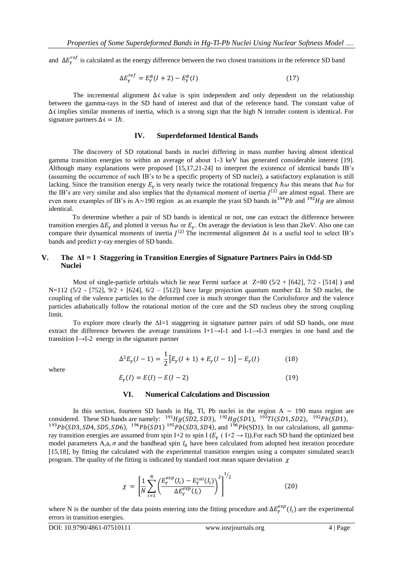and  $\Delta E_{\gamma}^{ref}$  is calculated as the energy difference between the two closest transitions in the reference SD band

$$
\Delta E_{\gamma}^{ref} = E_{\gamma}^{B} (I+2) - E_{\gamma}^{B} (I) \tag{17}
$$

The incremental alignment  $\Delta i$  value is spin independent and only dependent on the relationship between the gamma-rays in the SD band of interest and that of the reference band. The constant value of  $\Delta t$  implies similar moments of inertia, which is a strong sign that the high N intruder content is identical. For signature partners  $\Delta i = 1\hbar$ .

#### **IV. Superdeformed Identical Bands**

The discovery of SD rotational bands in nuclei differing in mass number having almost identical gamma transition energies to within an average of about 1-3 keV has generated considerable interest [19]. Although many explanations were proposed [15,17,21-24] to interpret the existence of identical bands IB's (assuming the occurrence of such IB's to be a specific property of SD nuclei), a satisfactory explanation is still lacking. Since the transition energy  $E_y$  is very nearly twice the rotational frequency  $\hbar\omega$  this means that  $\hbar\omega$  for the IB's are very similar and also implies that the dynamical moment of inertia  $J^{(2)}$  are almost equal. There are even more examples of IB's in A~190 region as an example the yrast SD bands in <sup>194</sup>Pb and <sup>192</sup>Hg are almost identical.

 To determine whether a pair of SD bands is identical or not, one can extract the difference between transition energies  $\Delta E_\gamma$  and plotted it versus  $\hbar\omega$  or  $E_\gamma$ . On average the deviation is less than 2keV. Also one can compare their dynamical moments of inertia  $J^{(2)}$  The incremental alignment  $\Delta i$  is a useful tool to select IB's bands and predict  $\nu$ -ray energies of SD bands.

## **V. The ΔI = 1 Staggering in Transition Energies of Signature Partners Pairs in Odd-SD Nuclei**

Most of single-particle orbitals which lie near Fermi surface at  $Z=80 (5/2 + [642], 7/2 - [514])$  and N=112 (5/2 - [752], 9/2 + [624], 6/2 – [512]) have large projection quantum number Ω. In SD nuclei, the coupling of the valence particles to the deformed core is much stronger than the Coriolisforce and the valence particles adiabatically follow the rotational motion of the core and the SD nucleus obey the strong coupling limit.

To explore more clearly the  $\Delta I=1$  staggering in signature partner pairs of odd SD bands, one must extract the difference between the average transitions I+1→I-1 and I-1→I-3 energies in one band and the transition I→I-2 energy in the signature partner

$$
\Delta^2 E_{\gamma}(I-1) = \frac{1}{2} \left[ E_{\gamma}(I+1) + E_{\gamma}(I-1) \right] - E_{\gamma}(I) \tag{18}
$$

where

$$
E_{\gamma}(I) = E(I) - E(I - 2)
$$
\n(19)

#### **VI. Numerical Calculations and Discussion**

In this section, fourteen SD bands in Hg, Tl, Pb nuclei in the region A  $\sim$  190 mass region are considered. These SD bands are namely:  $^{191}Hg(SD2, SD3)$ ,  $^{192}Hg(SD1)$ ,  $^{193}Tl(SD1, SD2)$ ,  $^{192}Pb(SD1)$ , <sup>193</sup>Pb(SD3, SD4, SD5, SD6), <sup>194</sup>Pb(SD1)<sup>195</sup>Pb(SD3, SD4), and <sup>196</sup>Pb(SD1). In our calculations, all gammaray transition energies are assumed from spin I+2 to spin I ( $E<sub>\gamma</sub>$  (I+2  $\rightarrow$  I)). For each SD band the optimized best model parameters A,a,  $\sigma$  and the bandhead spin  $I_0$  have been calculated from adopted best iteration procedure [15,18], by fitting the calculated with the experimental transition energies using a computer simulated search program. The quality of the fitting is indicated by standard root mean square deviation  $\gamma$ 

$$
\chi = \left[\frac{1}{N} \sum_{i=1}^{N} \left( \frac{E_{\gamma}^{exp}(I_i) - E_{\gamma}^{cal}(I_i)}{\Delta E_{\gamma}^{exp}(I_i)} \right)^2 \right]^{1/2}
$$
(20)

where N is the number of the data points entering into the fitting procedure and  $\Delta E_{\gamma}^{exp}(I_i)$  are the experimental errors in transition energies.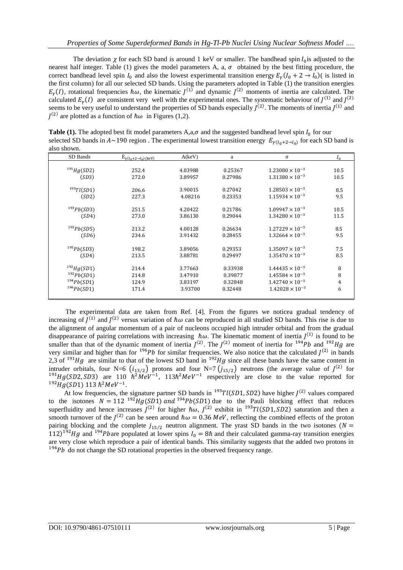The deviation  $\chi$  for each SD band is around 1 keV or smaller. The bandhead spin  $I_0$  is adjusted to the nearest half integer. Table (1) gives the model parameters A, a,  $\sigma$  obtained by the best fitting procedure, the correct bandhead level spin  $I_0$  and also the lowest experimental transition energy  $E_\gamma (I_0 + 2 \rightarrow I_0)$  is listed in the first column) for all our selected SD bands. Using the parameters adopted in Table (1) the transition energies  $E_{\gamma}(I)$ , rotational frequencies  $\hbar \omega$ , the kinematic  $J^{(1)}$  and dynamic  $J^{(2)}$  moments of inertia are calculated. The calculated  $E_{\gamma}(I)$  are consistent very well with the experimental ones. The systematic behaviour of  $J^{(1)}$  and  $J^{(2)}$ seems to be very useful to understand the properties of SD bands especially  $J^{(2)}$ . The moments of inertia  $J^{(1)}$  and  $J^{(2)}$  are plotted as a function of  $\hbar \omega$  in Figures (1,2).

**Table** (1). The adopted best fit model parameters  $A, a, \sigma$  and the suggested bandhead level spin  $I_0$  for our selected SD bands in  $A \sim 190$  region. The experimental lowest transition energy  $E_{\gamma(I_0+2\to I_0)}$  for each SD band is also shown.

| SD Bands        | $E_{\gamma(I_0+2\to I_0)(keV)}$ | A(keV)  | a       | σ                        | $I_0$          |
|-----------------|---------------------------------|---------|---------|--------------------------|----------------|
|                 |                                 |         |         |                          |                |
| $^{191}Hg(SD2)$ | 252.4                           | 4.03988 | 0.25367 | $1.23080 \times 10^{-3}$ | 10.5           |
| (SD3)           | 272.0                           | 3.89957 | 0.27986 | $1.31380 \times 10^{-3}$ | 10.5           |
| 1937l(SD1)      | 206.6                           | 3.90015 | 0.27042 | $1.28503 \times 10^{-3}$ | 8.5            |
| (SD2)           | 227.3                           | 4.08216 | 0.23353 | $1.15934 \times 10^{-3}$ | 9.5            |
| $^{193}Pb(SD3)$ | 251.5                           | 4.20422 | 0.21786 | $1.09947 \times 10^{-3}$ | 10.5           |
| (SD4)           | 273.0                           | 3.86130 | 0.29044 | $1.34280 \times 10^{-3}$ | 11.5           |
| $^{193}Pb(SD5)$ | 213.2                           | 4.00128 | 0.26634 | $1.27229 \times 10^{-3}$ | 8.5            |
| (SD6)           | 234.6                           | 3.91432 | 0.28455 | $1.32664 \times 10^{-3}$ | 9.5            |
| $^{195}Pb(SD3)$ | 198.2                           | 3.89056 | 0.29353 | $1.35097 \times 10^{-3}$ | 7.5            |
| (SD4)           | 213.5                           | 3.88781 | 0.29497 | $1.35470 \times 10^{-3}$ | 8.5            |
| $^{192}Hg(SD1)$ | 214.4                           | 3.77663 | 0.33938 | $1.44435 \times 10^{-3}$ | 8              |
| 192Pb(SD1)      | 214.8                           | 3.47910 | 0.39877 | $1.45584 \times 10^{-3}$ | 8              |
| $^{194}Pb(SD1)$ | 124.9                           | 3.83197 | 0.32848 | $1.42740 \times 10^{-3}$ | $\overline{4}$ |
| 196Pb(SD1)      | 171.4                           | 3.93700 | 0.32448 | $1.42028 \times 10^{-3}$ | 6              |
|                 |                                 |         |         |                          |                |

The experimental data are taken from Ref. [4]. From the figures we noticea gradual tendency of increasing of  $J^{(1)}$  and  $J^{(2)}$  versus variation of  $\hbar\omega$  can be reproduced in all studied SD bands. This rise is due to the alignment of angular momentum of a pair of nucleons occupied high intruder orbital and from the gradual disappearance of pairing correlations with increasing  $\hbar\omega$ . The kinematic moment of inertia  $J^{(1)}$  is found to be smaller than that of the dynamic moment of inertia  $J^{(2)}$ . The  $J^{(2)}$  moment of inertia for  $194Pb$  and  $192Hg$  are very similar and higher than for  $196Pb$  for similar frequencies. We also notice that the calculated  $J^{(2)}$  in bands 2,3 of  $191Hg$  are similar to that of the lowest SD band in  $192Hg$  since all these bands have the same content in intruder orbitals, four N=6  $(i_{13/2})$  protons and four N=7  $(j_{15/2})$  neutrons (the average value of  $J^{(2)}$  for <sup>191</sup>Hg(SD2, SD3) are 110  $\hbar^2 M eV^{-1}$ , 113 $\hbar^2 MeV^{-1}$  respectively are close to the value reported for  $^{192}Hg(SD1)$  113  $\hbar^2MeV^{-1}$ .

At low frequencies, the signature partner SD bands in  $^{193}Tl(SD1, SD2)$  have higher  $J^{(2)}$  values compared to the isotones  $N = 112^{-192}Hg(SD1)$  and  $194Pb(SD1)$  due to the Pauli blocking effect that reduces superfluidity and hence increases  $J^{(2)}$  for higher  $\hbar \omega$ ,  $J^{(2)}$  exhibit in <sup>193</sup>Tl(SD1,SD2) saturation and then a smooth turnover of the  $J^{(2)}$  can be seen around  $\hbar \omega = 0.36$  MeV, reflecting the combined effects of the proton pairing blocking and the complete  $j_{15/2}$  neutron alignment. The yrast SD bands in the two isotones ( $N =$ 112)<sup>192</sup>Hg and <sup>194</sup>Pbare populated at lower spins  $I_0 = 8\hbar$  and their calculated gamma-ray transition energies are very close which reproduce a pair of identical bands. This similarity suggests that the added two protons in  $194 Pb$  do not change the SD rotational properties in the observed frequency range.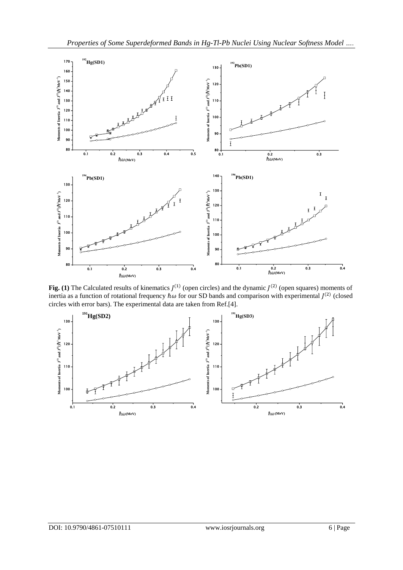

Fig. (1) The Calculated results of kinematics  $J^{(1)}$  (open circles) and the dynamic  $J^{(2)}$  (open squares) moments of inertia as a function of rotational frequency  $\hbar\omega$  for our SD bands and comparison with experimental  $J^{(2)}$  (closed circles with error bars). The experimental data are taken from Ref.[4].

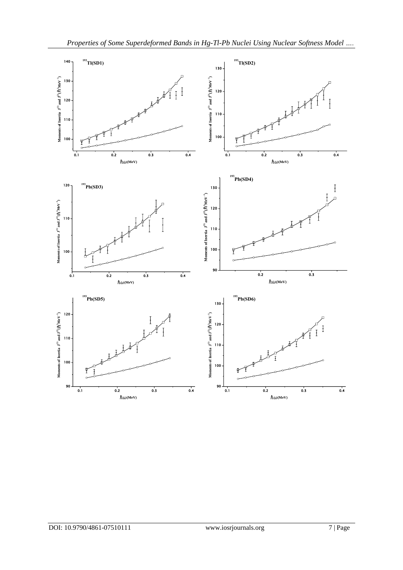

 $90 \frac{1}{0.1}$ 

0.1 0.2 0.3 0.4

 $90\frac{1}{0.1}$ 

0.1 0.2 0.3 0.4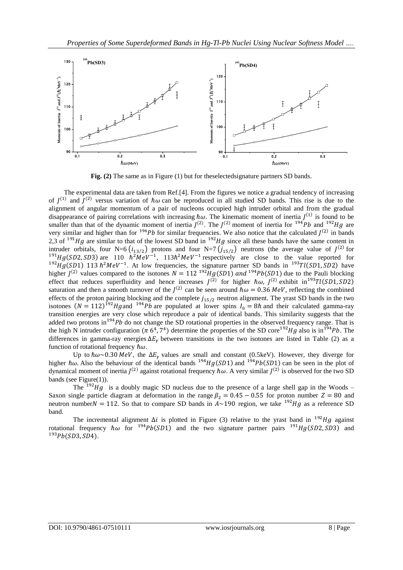

**Fig. (2)** The same as in Figure (1) but for theselectedsignature partners SD bands.

 The experimental data are taken from Ref.[4]. From the figures we notice a gradual tendency of increasing of  $J^{(1)}$  and  $J^{(2)}$  versus variation of  $\hbar\omega$  can be reproduced in all studied SD bands. This rise is due to the alignment of angular momentum of a pair of nucleons occupied high intruder orbital and from the gradual disappearance of pairing correlations with increasing  $\hbar\omega$ . The kinematic moment of inertia  $J^{(1)}$  is found to be smaller than that of the dynamic moment of inertia  $J^{(2)}$ . The  $J^{(2)}$  moment of inertia for <sup>194</sup>Pb and <sup>192</sup>Hg are very similar and higher than for  $196Pb$  for similar frequencies. We also notice that the calculated  $J^{(2)}$  in bands 2,3 of  $191Hg$  are similar to that of the lowest SD band in  $192Hg$  since all these bands have the same content in intruder orbitals, four N=6  $(i_{13/2})$  protons and four N=7  $(j_{15/2})$  neutrons (the average value of  $J^{(2)}$  for <sup>191</sup>Hg(SD2, SD3) are 110  $\hbar^2MeV^{-1}$ , 113 $\hbar^2MeV^{-1}$  respectively are close to the value reported for <sup>192</sup>Hg(SD1) 113  $\hbar^2 MeV^{-1}$ . At low frequencies, the signature partner SD bands in <sup>193</sup>Tl(SD1, SD2) have higher  $J^{(2)}$  values compared to the isotones  $N = 112^{192}Hg(SD1)$  and  $194Pb(SD1)$  due to the Pauli blocking effect that reduces superfluidity and hence increases  $J^{(2)}$  for higher  $\hbar \omega$ ,  $J^{(2)}$  exhibit in <sup>193</sup>Tl(SD1, SD2) saturation and then a smooth turnover of the  $J^{(2)}$  can be seen around  $\hbar \omega = 0.36$  MeV, reflecting the combined effects of the proton pairing blocking and the complete  $j_{15/2}$  neutron alignment. The yrast SD bands in the two isotones  $(N = 112)^{192}Hg$  and  $1^{94}Pb$  are populated at lower spins  $I_0 = 8\hbar$  and their calculated gamma-ray transition energies are very close which reproduce a pair of identical bands. This similarity suggests that the added two protons in  $194}Pb$  do not change the SD rotational properties in the observed frequency range. That is the high N intruder configuration ( $\pi$  6<sup>4</sup>, 7<sup>4</sup>) determine the properties of the SD core<sup>192</sup>Hg also is in <sup>194</sup>Pb. The differences in gamma-ray energies  $\Delta E_v$  between transitions in the two isotones are listed in Table (2) as a function of rotational frequency  $\hbar\omega$ .

Up to  $\hbar\omega \sim 0.30$  MeV, the  $\Delta E_v$  values are small and constant (0.5keV). However, they diverge for higher  $\hbar\omega$ . Also the behaviour of the identical bands  $^{194}Hg(SD1)$  and  $^{194}Pb(SD1)$  can be seen in the plot of dynamical moment of inertia  $J^{(2)}$  against rotational frequency  $\hbar\omega$ . A very similar  $J^{(2)}$  is observed for the two SD bands (see Figure(1)).

The  $192Hg$  is a doubly magic SD nucleus due to the presence of a large shell gap in the Woods – Saxon single particle diagram at deformation in the range  $\beta_2 = 0.45 - 0.55$  for proton number  $Z = 80$  and neutron number  $N = 112$ . So that to compare SD bands in  $A \sim 190$  region, we take <sup>192</sup>Hg as a reference SD band.

The incremental alignment  $\Delta i$  is plotted in Figure (3) relative to the yrast band in <sup>192</sup>Hg against rotational frequency  $\hbar \omega$  for <sup>194</sup>Pb(SD1) and the two signature partner pairs <sup>191</sup>Hg(SD2, SD3) and  $193Pb(SD3, SD4)$ .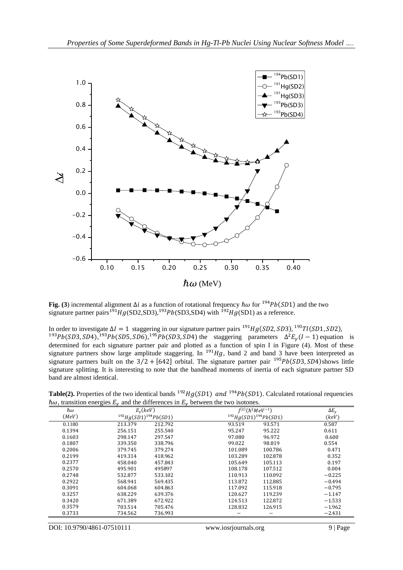

Fig. (3) incremental alignment  $\Delta i$  as a function of rotational frequency  $\hbar \omega$  for <sup>194</sup>Pb(SD1) and the two signature partner pairs<sup>191</sup>Hg(SD2,SD3),<sup>193</sup>Pb(SD3,SD4) with <sup>192</sup>Hg(SD1) as a reference.

In order to investigate  $\Delta I = 1$  staggering in our signature partner pairs <sup>191</sup>Hg(SD2, SD3), <sup>193</sup>Tl(SD1, SD2), <sup>193</sup>Pb(SD3, SD4),<sup>193</sup>Pb(SD5, SD6),<sup>195</sup>Pb(SD3, SD4) the staggering parameters  $\Delta^2 E_\gamma (I-1)$  equation is determined for each signature partner pair and plotted as a function of spin I in Figure (4). Most of these signature partners show large amplitude staggering. In  $191Hg$ , band 2 and band 3 have been interpreted as signature partners built on the  $3/2 + [642]$  orbital. The signature partner pair <sup>195</sup>Pb(SD3, SD4) shows little signature splitting. It is interesting to note that the bandhead moments of inertia of each signature partner SD band are almost identical.

**Table(2).** Properties of the two identical bands  $^{192}Hg(SD1)$  and  $^{194}Pb(SD1)$ . Calculated rotational requencies  $\hbar\omega$ , transition energies  $E_{\nu}$  and the differences in  $E_{\nu}$  between the two isotones.

| ħω     | ာ<br>$E_v(keV)$              |         | $I^{(2)}(\hbar^2MeV^{-1})$   | $\Delta E_{\gamma}$ |
|--------|------------------------------|---------|------------------------------|---------------------|
| (MeV)  | $^{192}Hg(SD1)^{194}Pb(SD1)$ |         | $^{192}Hg(SD1)^{194}Pb(SD1)$ | (key)               |
| 0.1180 | 213.379                      | 212.792 | 93.519<br>93.571             | 0.587               |
| 0.1394 | 256.151                      | 255.540 | 95.222<br>95.247             | 0.611               |
| 0.1603 | 298.147                      | 297.547 | 97.080<br>96.972             | 0.600               |
| 0.1807 | 339.350                      | 338.796 | 98.819<br>99.022             | 0.554               |
| 0.2006 | 379.745                      | 379.274 | 101.089<br>100.786           | 0.471               |
| 0.2199 | 419.314                      | 418.962 | 103.289<br>102.878           | 0.352               |
| 0.2377 | 458.040                      | 457.843 | 105.649<br>105.113           | 0.197               |
| 0.2570 | 495.901                      | 495897  | 108.178<br>107.512           | 0.004               |
| 0.2748 | 532.877                      | 533.102 | 110.913<br>110.092           | $-0.225$            |
| 0.2922 | 568.941                      | 569.435 | 113.872<br>112.885           | $-0.494$            |
| 0.3091 | 604.068                      | 604.863 | 117.092<br>115.918           | $-0.795$            |
| 0.3257 | 638.229                      | 639.376 | 120.627<br>119.239           | $-1.147$            |
| 0.3420 | 671.389                      | 672.922 | 124.513<br>122.872           | $-1.533$            |
| 0.3579 | 703.514                      | 705.476 | 128.832<br>126.915           | $-1.962$            |
| 0.3733 | 734.562                      | 736.993 |                              | $-2.431$            |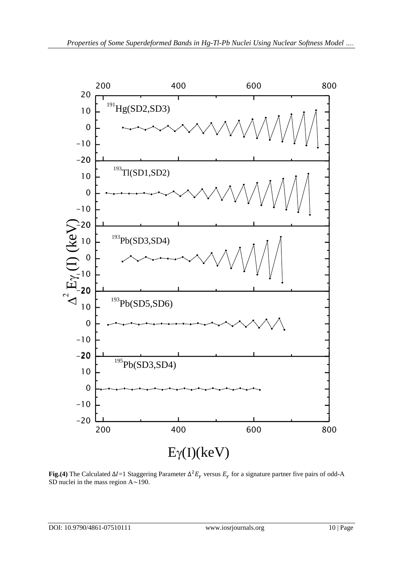

**Fig.(4)** The Calculated  $ΔI=1$  Staggering Parameter  $Δ^2E_γ$  versus  $E_γ$  for a signature partner five pairs of odd-A SD nuclei in the mass region A~190.